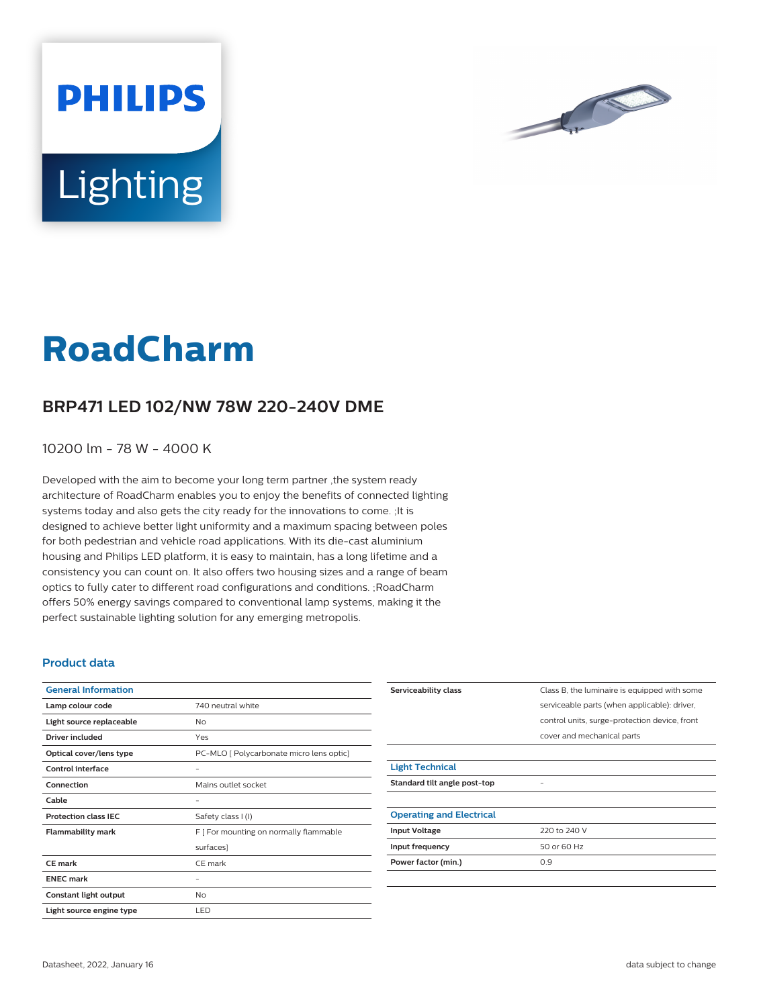

# **Lighting**

**PHILIPS** 

# **RoadCharm**

## **BRP471 LED 102/NW 78W 220-240V DME**

10200 lm - 78 W - 4000 K

Developed with the aim to become your long term partner ,the system ready architecture of RoadCharm enables you to enjoy the benefits of connected lighting systems today and also gets the city ready for the innovations to come. ;It is designed to achieve better light uniformity and a maximum spacing between poles for both pedestrian and vehicle road applications. With its die-cast aluminium housing and Philips LED platform, it is easy to maintain, has a long lifetime and a consistency you can count on. It also offers two housing sizes and a range of beam optics to fully cater to different road configurations and conditions. ;RoadCharm offers 50% energy savings compared to conventional lamp systems, making it the perfect sustainable lighting solution for any emerging metropolis.

#### **Product data**

| <b>General Information</b>  |                                          |
|-----------------------------|------------------------------------------|
| Lamp colour code            | 740 neutral white                        |
| Light source replaceable    | No                                       |
| <b>Driver included</b>      | Yes                                      |
| Optical cover/lens type     | PC-MLO [ Polycarbonate micro lens optic] |
| Control interface           |                                          |
| Connection                  | Mains outlet socket                      |
| Cable                       |                                          |
| <b>Protection class IEC</b> | Safety class I (I)                       |
| <b>Flammability mark</b>    | F [ For mounting on normally flammable   |
|                             | surfaces]                                |
| <b>CE</b> mark              | CE mark                                  |
| <b>ENEC mark</b>            |                                          |
| Constant light output       | <b>No</b>                                |
| Light source engine type    | LED                                      |

| Serviceability class            | Class B, the luminaire is equipped with some  |
|---------------------------------|-----------------------------------------------|
|                                 | serviceable parts (when applicable): driver,  |
|                                 | control units, surge-protection device, front |
|                                 | cover and mechanical parts                    |
|                                 |                                               |
| <b>Light Technical</b>          |                                               |
| Standard tilt angle post-top    |                                               |
|                                 |                                               |
| <b>Operating and Electrical</b> |                                               |
| <b>Input Voltage</b>            | 220 to 240 V                                  |
| Input frequency                 | 50 or 60 Hz                                   |
| Power factor (min.)             | 0.9                                           |
|                                 |                                               |